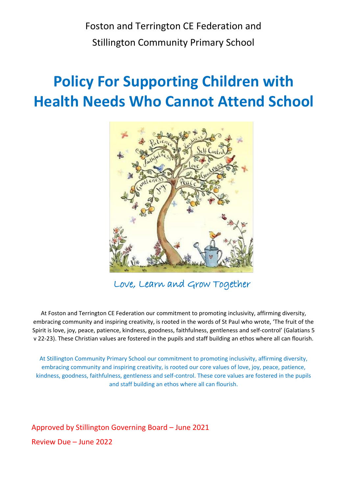Foston and Terrington CE Federation and Stillington Community Primary School

# **Policy For Supporting Children with Health Needs Who Cannot Attend School**



Love, Learn and Grow Together

At Foston and Terrington CE Federation our commitment to promoting inclusivity, affirming diversity, embracing community and inspiring creativity, is rooted in the words of St Paul who wrote, 'The fruit of the Spirit is love, joy, peace, patience, kindness, goodness, faithfulness, gentleness and self-control' (Galatians 5 v 22-23). These Christian values are fostered in the pupils and staff building an ethos where all can flourish.

At Stillington Community Primary School our commitment to promoting inclusivity, affirming diversity, embracing community and inspiring creativity, is rooted our core values of love, joy, peace, patience, kindness, goodness, faithfulness, gentleness and self-control. These core values are fostered in the pupils and staff building an ethos where all can flourish.

Approved by Stillington Governing Board – June 2021 Review Due – June 2022